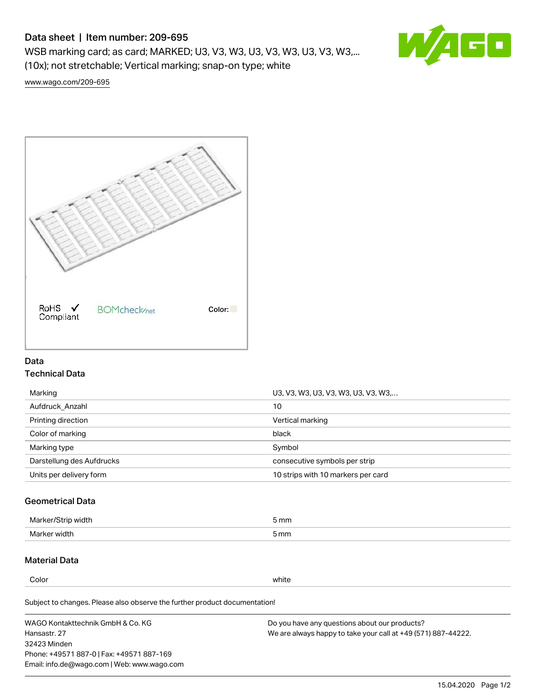# Data sheet | Item number: 209-695

WSB marking card; as card; MARKED; U3, V3, W3, U3, V3, W3, U3, V3, W3,... (10x); not stretchable; Vertical marking; snap-on type; white



[www.wago.com/209-695](http://www.wago.com/209-695)



## Data Technical Data

| Marking                   | U3, V3, W3, U3, V3, W3, U3, V3, W3, |
|---------------------------|-------------------------------------|
| Aufdruck Anzahl           | 10                                  |
| Printing direction        | Vertical marking                    |
| Color of marking          | black                               |
| Marking type              | Symbol                              |
| Darstellung des Aufdrucks | consecutive symbols per strip       |
| Units per delivery form   | 10 strips with 10 markers per card  |

## Geometrical Data

| Mar<br>.        | 5 mm |
|-----------------|------|
| Marker<br>width | 5 mm |

# Material Data

Color white

Subject to changes. Please also observe the further product documentation!

WAGO Kontakttechnik GmbH & Co. KG Hansastr. 27 32423 Minden Phone: +49571 887-0 | Fax: +49571 887-169 Email: info.de@wago.com | Web: www.wago.com Do you have any questions about our products? We are always happy to take your call at +49 (571) 887-44222.